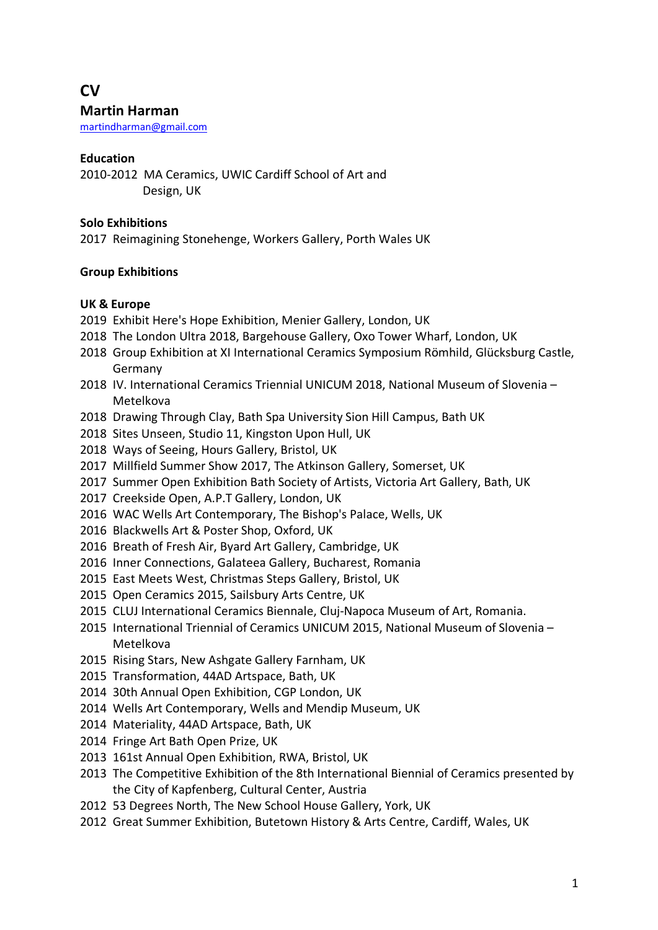# **CV Martin Harman**

martindharman@gmail.com

# **Education**

2010-2012 MA Ceramics, UWIC Cardiff School of Art and Design, UK

## **Solo Exhibitions**

2017 Reimagining Stonehenge, Workers Gallery, Porth Wales UK

## **Group Exhibitions**

## **UK & Europe**

- 2019 Exhibit Here's Hope Exhibition, Menier Gallery, London, UK
- 2018 The London Ultra 2018, Bargehouse Gallery, Oxo Tower Wharf, London, UK
- 2018 Group Exhibition at XI International Ceramics Symposium Römhild, Glücksburg Castle, Germany
- 2018 IV. International Ceramics Triennial UNICUM 2018, National Museum of Slovenia Metelkova
- 2018 Drawing Through Clay, Bath Spa University Sion Hill Campus, Bath UK
- 2018 Sites Unseen, Studio 11, Kingston Upon Hull, UK
- 2018 Ways of Seeing, Hours Gallery, Bristol, UK
- 2017 Millfield Summer Show 2017, The Atkinson Gallery, Somerset, UK
- 2017 Summer Open Exhibition Bath Society of Artists, Victoria Art Gallery, Bath, UK
- 2017 Creekside Open, A.P.T Gallery, London, UK
- 2016 WAC Wells Art Contemporary, The Bishop's Palace, Wells, UK
- 2016 Blackwells Art & Poster Shop, Oxford, UK
- 2016 Breath of Fresh Air, Byard Art Gallery, Cambridge, UK
- 2016 Inner Connections, Galateea Gallery, Bucharest, Romania
- 2015 East Meets West, Christmas Steps Gallery, Bristol, UK
- 2015 Open Ceramics 2015, Sailsbury Arts Centre, UK
- 2015 CLUJ International Ceramics Biennale, Cluj-Napoca Museum of Art, Romania.
- 2015 International Triennial of Ceramics UNICUM 2015, National Museum of Slovenia Metelkova
- 2015 Rising Stars, New Ashgate Gallery Farnham, UK
- 2015 Transformation, 44AD Artspace, Bath, UK
- 2014 30th Annual Open Exhibition, CGP London, UK
- 2014 Wells Art Contemporary, Wells and Mendip Museum, UK
- 2014 Materiality, 44AD Artspace, Bath, UK
- 2014 Fringe Art Bath Open Prize, UK
- 2013 161st Annual Open Exhibition, RWA, Bristol, UK
- 2013 The Competitive Exhibition of the 8th International Biennial of Ceramics presented by the City of Kapfenberg, Cultural Center, Austria
- 2012 53 Degrees North, The New School House Gallery, York, UK
- 2012 Great Summer Exhibition, Butetown History & Arts Centre, Cardiff, Wales, UK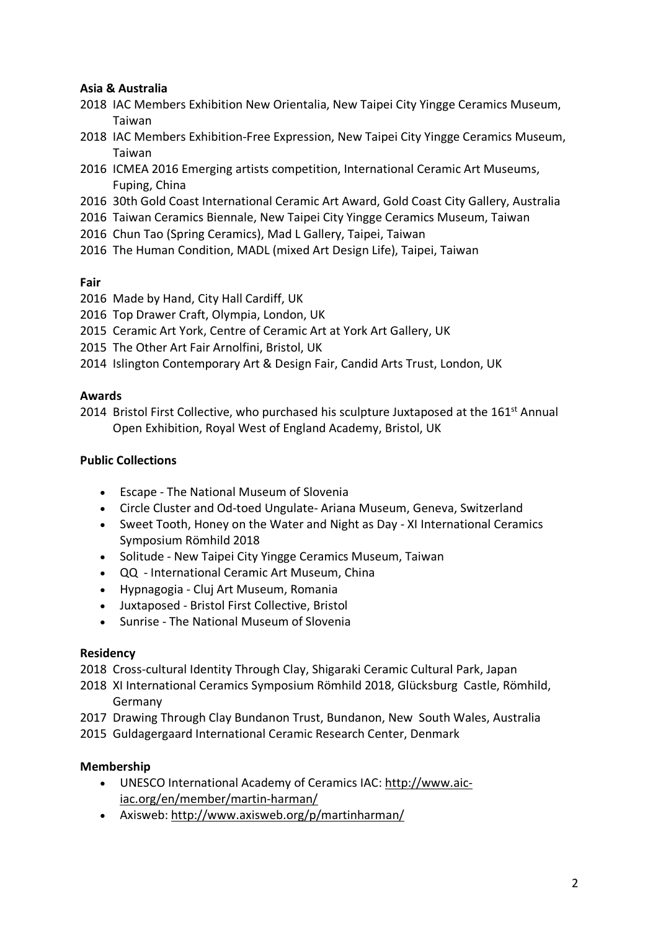# **Asia & Australia**

- 2018 IAC Members Exhibition New Orientalia, New Taipei City Yingge Ceramics Museum, Taiwan
- 2018 IAC Members Exhibition-Free Expression, New Taipei City Yingge Ceramics Museum, Taiwan
- 2016 ICMEA 2016 Emerging artists competition, International Ceramic Art Museums, Fuping, China
- 2016 30th Gold Coast International Ceramic Art Award, Gold Coast City Gallery, Australia
- 2016 Taiwan Ceramics Biennale, New Taipei City Yingge Ceramics Museum, Taiwan
- 2016 Chun Tao (Spring Ceramics), Mad L Gallery, Taipei, Taiwan
- 2016 The Human Condition, MADL (mixed Art Design Life), Taipei, Taiwan

## **Fair**

- 2016 Made by Hand, City Hall Cardiff, UK
- 2016 Top Drawer Craft, Olympia, London, UK
- 2015 Ceramic Art York, Centre of Ceramic Art at York Art Gallery, UK
- 2015 The Other Art Fair Arnolfini, Bristol, UK
- 2014 Islington Contemporary Art & Design Fair, Candid Arts Trust, London, UK

## **Awards**

2014 Bristol First Collective, who purchased his sculpture Juxtaposed at the  $161<sup>st</sup>$  Annual Open Exhibition, Royal West of England Academy, Bristol, UK

# **Public Collections**

- Escape The National Museum of Slovenia
- Circle Cluster and Od-toed Ungulate- Ariana Museum, Geneva, Switzerland
- Sweet Tooth, Honey on the Water and Night as Day XI International Ceramics Symposium Römhild 2018
- Solitude New Taipei City Yingge Ceramics Museum, Taiwan
- QQ International Ceramic Art Museum, China
- Hypnagogia Cluj Art Museum, Romania
- Juxtaposed Bristol First Collective, Bristol
- Sunrise The National Museum of Slovenia

## **Residency**

2018 Cross-cultural Identity Through Clay, Shigaraki Ceramic Cultural Park, Japan

- 2018 XI International Ceramics Symposium Römhild 2018, Glücksburg Castle, Römhild, Germany
- 2017 Drawing Through Clay Bundanon Trust, Bundanon, New South Wales, Australia
- 2015 Guldagergaard International Ceramic Research Center, Denmark

# **Membership**

- UNESCO International Academy of Ceramics IAC: http://www.aiciac.org/en/member/martin-harman/
- Axisweb: http://www.axisweb.org/p/martinharman/